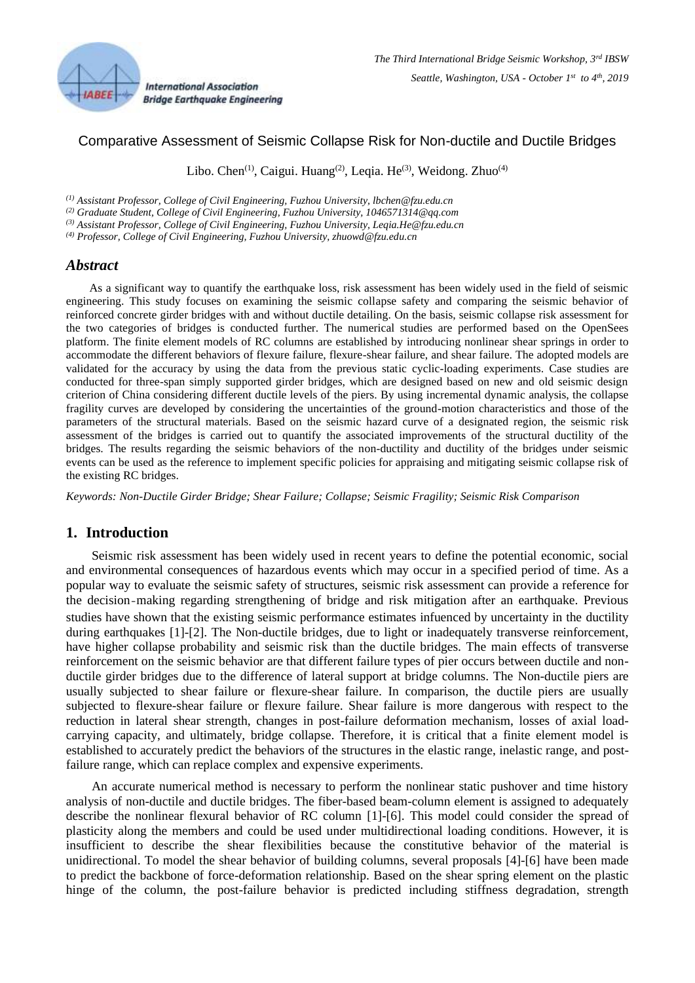

# Comparative Assessment of Seismic Collapse Risk for Non-ductile and Ductile Bridges

Libo. Chen<sup>(1)</sup>, Caigui. Huang<sup>(2)</sup>, Leqia. He<sup>(3)</sup>, Weidong. Zhuo<sup>(4)</sup>

*(1) Assistant Professor, College of Civil Engineering, Fuzhou University, lbchen@fzu.edu.cn*

*(2) Graduate Student, College of Civil Engineering, Fuzhou University, 1046571314@qq.com*

*(3) Assistant Professor, College of Civil Engineering, Fuzhou University, Leqia.He@fzu.edu.cn*

*(4) Professor, College of Civil Engineering, Fuzhou University, zhuowd@fzu.edu.cn*

### *Abstract*

As a significant way to quantify the earthquake loss, risk assessment has been widely used in the field of seismic engineering. This study focuses on examining the seismic collapse safety and comparing the seismic behavior of reinforced concrete girder bridges with and without ductile detailing. On the basis, seismic collapse risk assessment for the two categories of bridges is conducted further. The numerical studies are performed based on the OpenSees platform. The finite element models of RC columns are established by introducing nonlinear shear springs in order to accommodate the different behaviors of flexure failure, flexure-shear failure, and shear failure. The adopted models are validated for the accuracy by using the data from the previous static cyclic-loading experiments. Case studies are conducted for three-span simply supported girder bridges, which are designed based on new and old seismic design criterion of China considering different ductile levels of the piers. By using incremental dynamic analysis, the collapse fragility curves are developed by considering the uncertainties of the ground-motion characteristics and those of the parameters of the structural materials. Based on the seismic hazard curve of a designated region, the seismic risk assessment of the bridges is carried out to quantify the associated improvements of the structural ductility of the bridges. The results regarding the seismic behaviors of the non-ductility and ductility of the bridges under seismic events can be used as the reference to implement specific policies for appraising and mitigating seismic collapse risk of the existing RC bridges.

*Keywords: Non-Ductile Girder Bridge; Shear Failure; Collapse; Seismic Fragility; Seismic Risk Comparison*

# **1. Introduction**

Seismic risk assessment has been widely used in recent years to define the potential economic, social and environmental consequences of hazardous events which may occur in a specified period of time. As a popular way to evaluate the seismic safety of structures, seismic risk assessment can provide a reference for the decision-making regarding strengthening of bridge and risk mitigation after an earthquake. Previous studies have shown that the existing seismic performance estimates infuenced by uncertainty in the ductility during earthquakes [\[1\]](#page-15-0)[-\[2\].](#page-15-1) The Non-ductile bridges, due to light or inadequately transverse reinforcement. have higher collapse probability and seismic risk than the ductile bridges. The main effects of transverse reinforcement on the seismic behavior are that different failure types of pier occurs between ductile and nonductile girder bridges due to the difference of lateral support at bridge columns. The Non-ductile piers are usually subjected to shear failure or flexure-shear failure. In comparison, the ductile piers are usually subjected to flexure-shear failure or flexure failure. Shear failure is more dangerous with respect to the reduction in lateral shear strength, changes in post-failure deformation mechanism, losses of axial loadcarrying capacity, and ultimately, bridge collapse. Therefore, it is critical that a finite element model is established to accurately predict the behaviors of the structures in the elastic range, inelastic range, and postfailure range, which can replace complex and expensive experiments.

An accurate numerical method is necessary to perform the nonlinear static pushover and time history analysis of non-ductile and ductile bridges. The fiber-based beam-column element is assigned to adequately describe the nonlinear flexural behavior of RC column [\[1\]-](#page-15-0)[\[6\].](#page-15-2) This model could consider the spread of plasticity along the members and could be used under multidirectional loading conditions. However, it is insufficient to describe the shear flexibilities because the constitutive behavior of the material is unidirectional. To model the shear behavior of building columns, several proposals [\[4\]](#page-15-3)[-\[6\]](#page-15-2) have been made to predict the backbone of force-deformation relationship. Based on the shear spring element on the plastic hinge of the column, the post-failure behavior is predicted including stiffness degradation, strength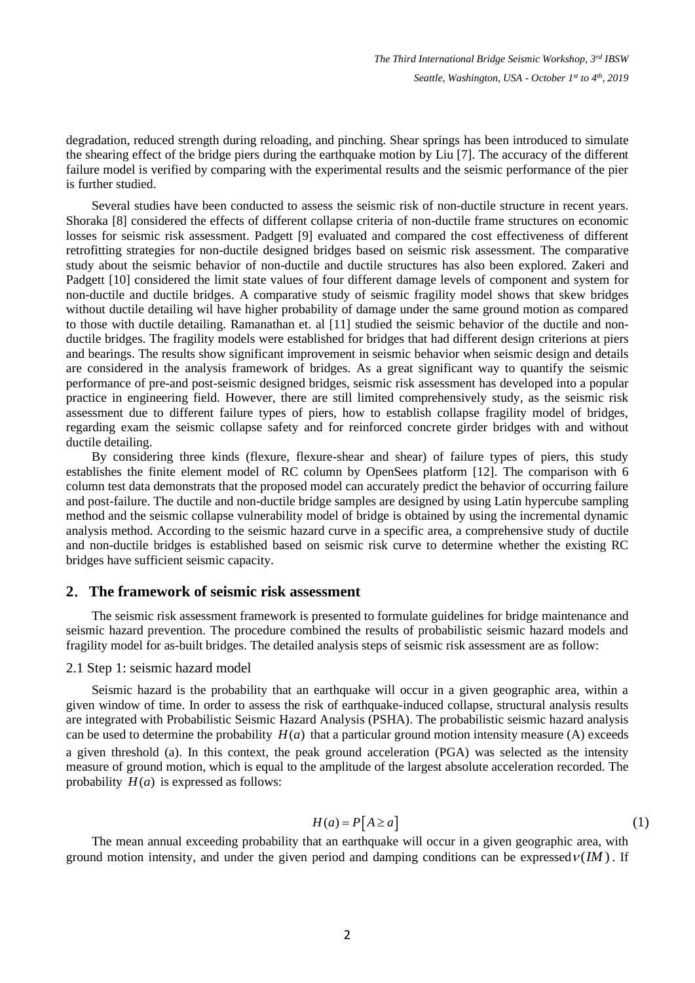degradation, reduced strength during reloading, and pinching. Shear springs has been introduced to simulate the shearing effect of the bridge piers during the earthquake motion by Liu [\[7\].](#page-15-4) The accuracy of the different failure model is verified by comparing with the experimental results and the seismic performance of the pier is further studied.

Several studies have been conducted to assess the seismic risk of non-ductile structure in recent years. Shoraka [\[8\]](#page-15-5) considered the effects of different collapse criteria of non-ductile frame structures on economic losses for seismic risk assessment. Padgett [\[9\]](#page-15-6) evaluated and compared the cost effectiveness of different retrofitting strategies for non-ductile designed bridges based on seismic risk assessment. The comparative study about the seismic behavior of non-ductile and ductile structures has also been explored. Zakeri and Padgett [\[10\]](#page-15-7) considered the limit state values of four different damage levels of component and system for non-ductile and ductile bridges. A comparative study of seismic fragility model shows that skew bridges without ductile detailing wil have higher probability of damage under the same ground motion as compared to those with ductile detailing. Ramanathan et. al [\[11\]](#page-16-0) studied the seismic behavior of the ductile and nonductile bridges. The fragility models were established for bridges that had different design criterions at piers and bearings. The results show significant improvement in seismic behavior when seismic design and details are considered in the analysis framework of bridges. As a great significant way to quantify the seismic performance of pre-and post-seismic designed bridges, seismic risk assessment has developed into a popular practice in engineering field. However, there are still limited comprehensively study, as the seismic risk assessment due to different failure types of piers, how to establish collapse fragility model of bridges, regarding exam the seismic collapse safety and for reinforced concrete girder bridges with and without ductile detailing.

By considering three kinds (flexure, flexure-shear and shear) of failure types of piers, this study establishes the finite element model of RC column by OpenSees platform [\[12\].](#page-16-1) The comparison with 6 column test data demonstrats that the proposed model can accurately predict the behavior of occurring failure and post-failure. The ductile and non-ductile bridge samples are designed by using Latin hypercube sampling method and the seismic collapse vulnerability model of bridge is obtained by using the incremental dynamic analysis method. According to the seismic hazard curve in a specific area, a comprehensive study of ductile and non-ductile bridges is established based on seismic risk curve to determine whether the existing RC bridges have sufficient seismic capacity.

#### **2**.**The framework of seismic risk assessment**

The seismic risk assessment framework is presented to formulate guidelines for bridge maintenance and seismic hazard prevention. The procedure combined the results of probabilistic seismic hazard models and fragility model for as-built bridges. The detailed analysis steps of seismic risk assessment are as follow:

#### 2.1 Step 1: seismic hazard model

Seismic hazard is the probability that an earthquake will occur in a given geographic area, within a given window of time. In order to assess the risk of earthquake-induced collapse, structural analysis results are integrated with Probabilistic Seismic Hazard Analysis (PSHA). The probabilistic seismic hazard analysis can be used to determine the probability  $H(a)$  that a particular ground motion intensity measure (A) exceeds a given threshold (a). In this context, the peak ground acceleration (PGA) was selected as the intensity measure of ground motion, which is equal to the amplitude of the largest absolute acceleration recorded. The probability  $H(a)$  is expressed as follows:

$$
H(a) = P[A \ge a]
$$
 (1)

The mean annual exceeding probability that an earthquake will occur in a given geographic area, with ground motion intensity, and under the given period and damping conditions can be expressed  $V(M)$ . If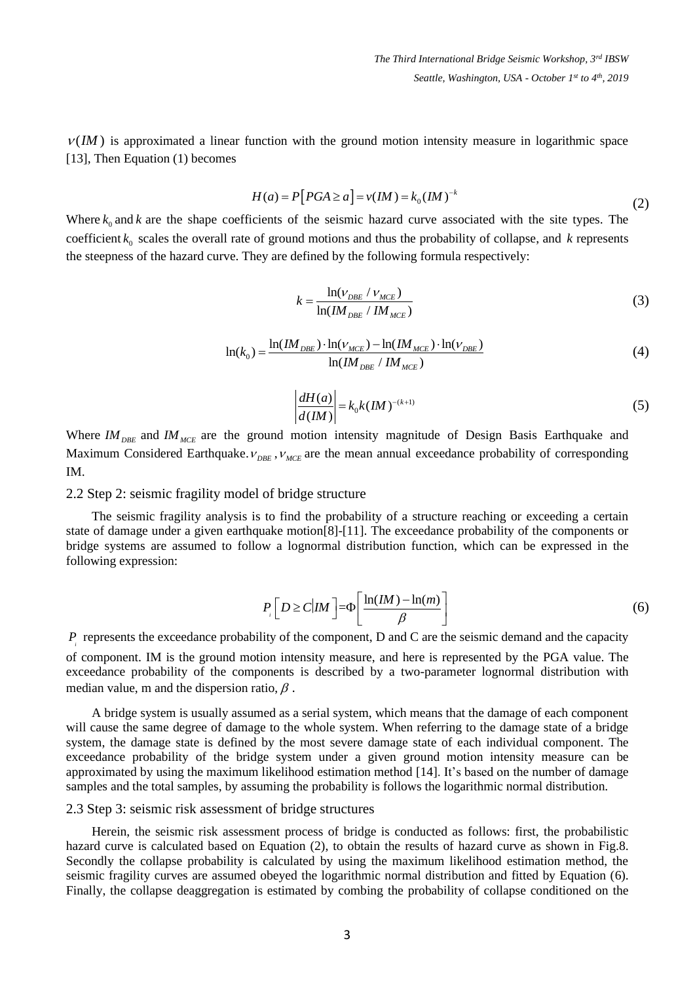$V(M)$  is approximated a linear function with the ground motion intensity measure in logarithmic space [\[13\],](#page-16-2) Then Equation (1) becomes

$$
H(a) = P[PGA \ge a] = v(IM) = k_0(IM)^{-k}
$$
\n<sup>(2)</sup>

Where  $k_0$  and  $k$  are the shape coefficients of the seismic hazard curve associated with the site types. The coefficient  $k_0$  scales the overall rate of ground motions and thus the probability of collapse, and  $k$  represents the steepness of the hazard curve. They are defined by the following formula respectively:

$$
k = \frac{\ln(\nu_{\text{DBE}} / \nu_{\text{MCE}})}{\ln(\text{IM}_{\text{DBE}} / \text{IM}_{\text{MCE}})}
$$
(3)

$$
\ln(k_0) = \frac{\ln(IM_{DBE}) \cdot \ln(\nu_{MCE}) - \ln(IM_{MCE}) \cdot \ln(\nu_{DBE})}{\ln(IM_{DBE} / IM_{MCE})}
$$
(4)

$$
\left| \frac{dH(a)}{d(Im)} \right| = k_0 k (Im)^{-(k+1)}
$$
\n(5)

Where  $IM_{DE}$  and  $IM_{MCE}$  are the ground motion intensity magnitude of Design Basis Earthquake and Maximum Considered Earthquake.  $v_{\text{DEF}}$ ,  $v_{\text{MCE}}$  are the mean annual exceedance probability of corresponding IM.

2.2 Step 2: seismic fragility model of bridge structure

The seismic fragility analysis is to find the probability of a structure reaching or exceeding a certain state of damage under a given earthquake motio[n\[8\]](#page-15-5)[-\[11\].](#page-16-0) The exceedance probability of the components or bridge systems are assumed to follow a lognormal distribution function, which can be expressed in the following expression:

$$
P\left[D \ge C | IM\right] = \Phi\left[\frac{\ln(M) - \ln(m)}{\beta}\right] \tag{6}
$$

*P*<sub>*i*</sub> represents the exceedance probability of the component, D and C are the seismic demand and the capacity of component. IM is the ground motion intensity measure, and here is represented by the PGA value. The exceedance probability of the components is described by a two-parameter lognormal distribution with median value, m and the dispersion ratio,  $\beta$ .

A bridge system is usually assumed as a serial system, which means that the damage of each component will cause the same degree of damage to the whole system. When referring to the damage state of a bridge system, the damage state is defined by the most severe damage state of each individual component. The exceedance probability of the bridge system under a given ground motion intensity measure can be approximated by using the maximum likelihood estimation method [\[14\].](#page-16-3) It's based on the number of damage samples and the total samples, by assuming the probability is follows the logarithmic normal distribution.

#### 2.3 Step 3: seismic risk assessment of bridge structures

Herein, the seismic risk assessment process of bridge is conducted as follows: first, the probabilistic hazard curve is calculated based on Equation (2), to obtain the results of hazard curve as shown in Fig.8. Secondly the collapse probability is calculated by using the maximum likelihood estimation method, the seismic fragility curves are assumed obeyed the logarithmic normal distribution and fitted by Equation (6). Finally, the collapse deaggregation is estimated by combing the probability of collapse conditioned on the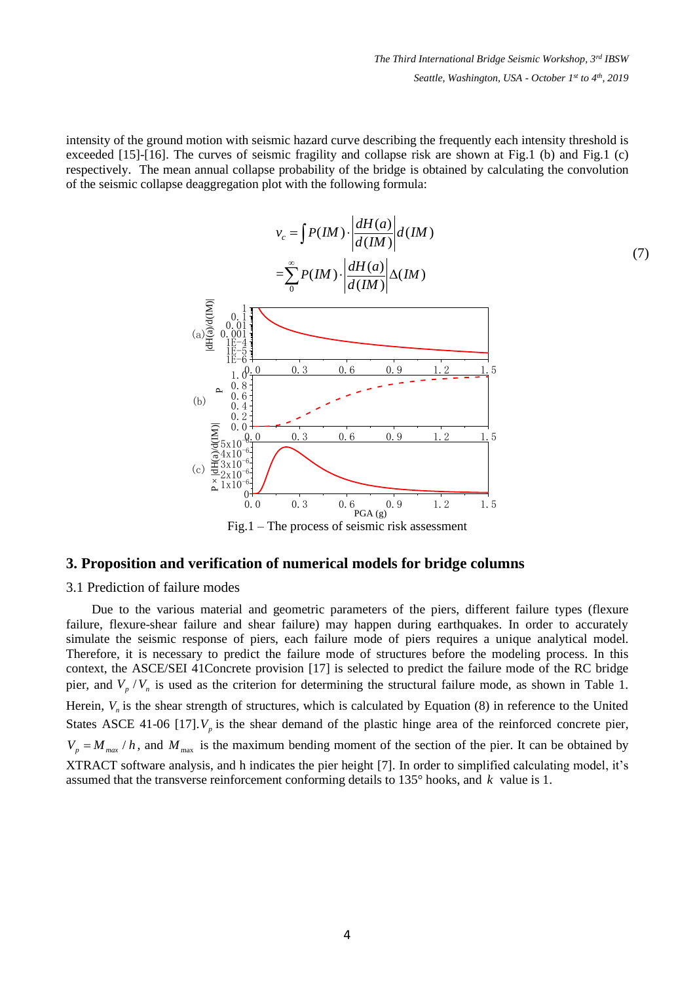intensity of the ground motion with seismic hazard curve describing the frequently each intensity threshold is exceeded [15]-[16]. The curves of seismic fragility and collapse risk are shown at Fig.1 (b) and Fig.1 (c) respectively. The mean annual collapse probability of the bridge is obtained by calculating the convolution of the seismic collapse deaggregation plot with the following formula:

$$
v_c = \int P(M) \cdot \left| \frac{dH(a)}{d(M)} \right| d(M)
$$
\n
$$
= \sum_{0}^{\infty} P(M) \cdot \left| \frac{dH(a)}{d(M)} \right| \Delta(M)
$$
\n
$$
\sum_{\substack{a \ge 0 \\ a \ge 0 \\ b \ge 0 \\ b \ge 0 \\ b \ge 0 \\ a \ge 1 \\ a \ge 0 \\ \text{where } a \ge 0 \\ \text{where } a \ge 0 \\ \text{where } a \ge 0 \\ \text{where } a \ge 0 \\ \text{where } a \ge 0 \\ \text{where } a \ge 0 \\ \text{where } a \ge 0 \\ \text{where } a \ge 0 \\ \text{where } a \ge 0 \\ \text{where } a \ge 0 \\ \text{where } a \ge 0 \\ \text{where } a \ge 0 \\ \text{where } a \ge 0 \\ \text{where } a \ge 0 \\ \text{where } a \ge 0 \\ \text{where } a \ge 0 \\ \text{where } a \ge 0 \\ \text{where } a \ge 0 \\ \text{where } a \ge 0 \\ \text{where } a \ge 0 \\ \text{where } a \ge 0 \\ \text{where } a \ge 0 \\ \text{where } a \ge 0 \\ \text{where } a \ge 0 \\ \text{where } a \ge 0 \\ \text{where } a \ge 0 \\ \text{where } a \ge 0 \\ \text{where } a \ge 0 \\ \text{where } a \ge 0 \\ \text{where } a \ge 0 \\ \text{where } a \ge 0 \\ \text{where } a \ge 0 \\ \text{where } a \ge 0 \\ \text{where } a \ge 0 \\ \text{where } a \ge 0 \\ \text{where } a \ge 0 \\ \text{where } a \ge 0 \\ \text{where } a \ge 0 \\ \text{where } a \ge 0 \\ \text{where } a \ge 0 \\ \text{where } a \ge 0 \\ \text{where } a \ge 0 \\ \text{where } a \ge 0 \\ \text{where } a \ge 0 \\ \text{where } a \ge 0 \\ \text{where } a \ge 0 \\ \text{where } a \ge 0 \\ \text{where } a \ge 0 \\ \text{where } a \ge 0 \\ \text{where } a \ge 0 \\ \text{where } a \ge 0 \\ \text{where } a \ge 0 \\ \text{where } a \ge 0 \\ \text{where } a \ge 0 \\ \text{where } a \ge 0 \\ \text{where } a \ge 0 \\ \text{where } a \ge 0
$$

Fig.1 – The process of seismic risk assessment

# **3. Proposition and verification of numerical models for bridge columns**

## 3.1 Prediction of failure modes

Due to the various material and geometric parameters of the piers, different failure types (flexure failure, flexure-shear failure and shear failure) may happen during earthquakes. In order to accurately simulate the seismic response of piers, each failure mode of piers requires a unique analytical model. Therefore, it is necessary to predict the failure mode of structures before the modeling process. In this context, the ASCE/SEI 41Concrete provision [\[17\]](#page-16-4) is selected to predict the failure mode of the RC bridge pier, and  $V_p / V_n$  is used as the criterion for determining the structural failure mode, as shown in Table 1. Herein,  $V_n$  is the shear strength of structures, which is calculated by Equation  $(8)$  in reference to the United States ASCE 41-06 [\[17\].](#page-16-4) $V_p$  is the shear demand of the plastic hinge area of the reinforced concrete pier,  $V_p = M_{max}/h$ , and  $M_{max}$  is the maximum bending moment of the section of the pier. It can be obtained by XTRACT software analysis, and h indicates the pier height [\[7\].](#page-15-4) In order to simplified calculating model, it's assumed that the transverse reinforcement conforming details to 135° hooks, and *k* value is 1.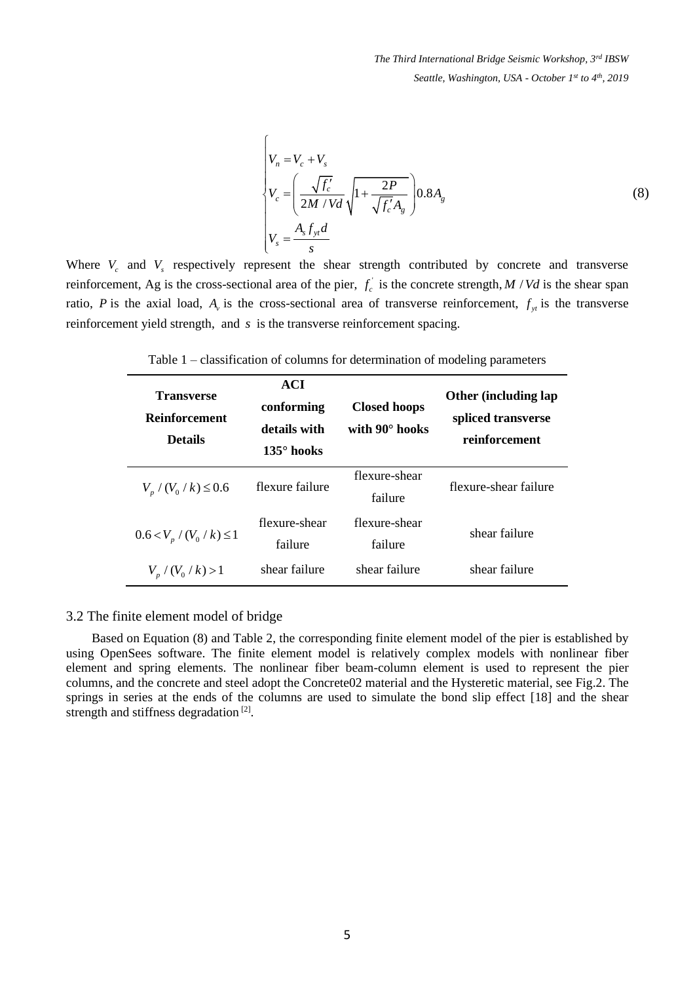$$
V_n = V_c + V_s
$$
  
\n
$$
V_c = \left(\frac{\sqrt{f'_c}}{2M/Vd} \sqrt{1 + \frac{2P}{\sqrt{f'_c}A_g}}\right) 0.8A_g
$$
  
\n
$$
V_s = \frac{A_s f_{yt}d}{s}
$$
 (8)

Where  $V_c$  and  $V_s$  respectively represent the shear strength contributed by concrete and transverse reinforcement, Ag is the cross-sectional area of the pier,  $f_c$  is the concrete strength,  $M / Vd$  is the shear span ratio, *P* is the axial load,  $A_\nu$  is the cross-sectional area of transverse reinforcement,  $f_{y_t}$  is the transverse reinforcement yield strength, and *s* is the transverse reinforcement spacing.

Table 1 – classification of columns for determination of modeling parameters

| <b>Transverse</b><br><b>Reinforcement</b><br><b>Details</b> | <b>ACI</b><br>conforming<br>details with<br>$135^\circ$ hooks | <b>Closed hoops</b><br>with 90° hooks | <b>Other (including lap</b><br>spliced transverse<br>reinforcement |
|-------------------------------------------------------------|---------------------------------------------------------------|---------------------------------------|--------------------------------------------------------------------|
| $V_p / (V_0 / k) \le 0.6$                                   | flexure failure                                               | flexure-shear<br>failure              | flexure-shear failure                                              |
| $0.6 < V_p / (V_0 / k) \leq 1$                              | flexure-shear<br>failure                                      | flexure-shear<br>failure              | shear failure                                                      |
| $V_p / (V_0 / k) > 1$                                       | shear failure                                                 | shear failure                         | shear failure                                                      |

### 3.2 The finite element model of bridge

Based on Equation (8) and Table 2, the corresponding finite element model of the pier is established by using OpenSees software. The finite element model is relatively complex models with nonlinear fiber element and spring elements. The nonlinear fiber beam-column element is used to represent the pier columns, and the concrete and steel adopt the Concrete02 material and the Hysteretic material, see Fig.2. The springs in series at the ends of the columns are used to simulate the bond slip effect [\[18\]](#page-16-5) and the shear strength and stiffness degradation<sup>[\[2\]](#page-15-1)</sup>.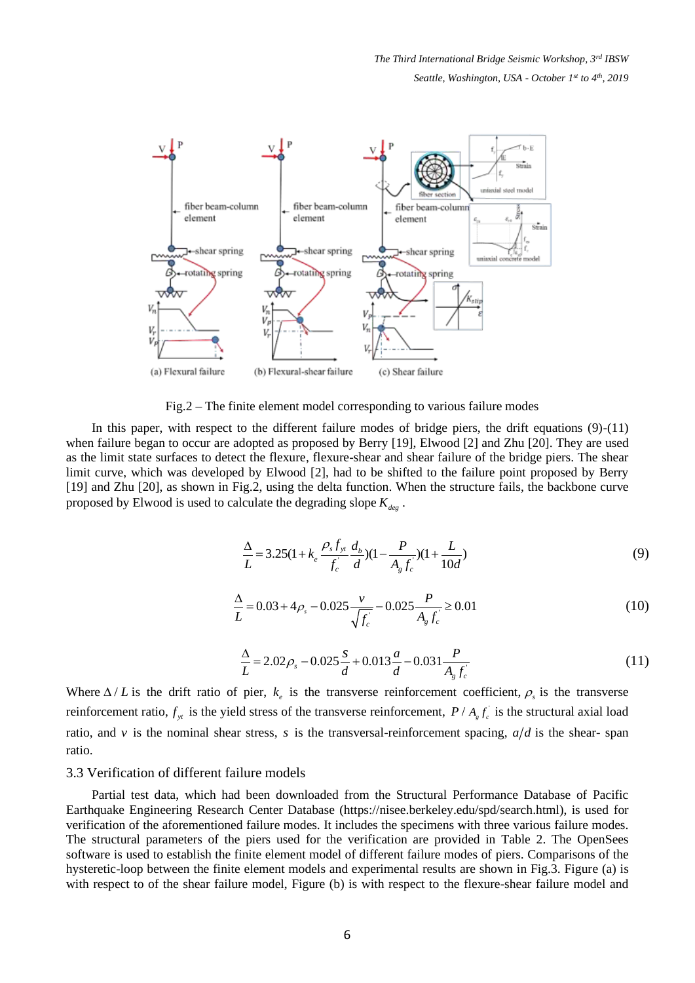

Fig.2 – The finite element model corresponding to various failure modes

In this paper, with respect to the different failure modes of bridge piers, the drift equations  $(9)-(11)$ when failure began to occur are adopted as proposed by Berry [\[19\],](#page-16-6) Elwood [\[2\]](#page-15-1) and Zhu [\[20\].](#page-16-7) They are used as the limit state surfaces to detect the flexure, flexure-shear and shear failure of the bridge piers. The shear limit curve, which was developed by Elwood [\[2\],](#page-15-1) had to be shifted to the failure point proposed by Berry [\[19\]](#page-16-6) and Zhu [\[20\],](#page-16-7) as shown in Fig.2, using the delta function. When the structure fails, the backbone curve proposed by Elwood is used to calculate the degrading slope *Kdeg* .

$$
\frac{\Delta}{L} = 3.25(1 + k_e \frac{\rho_s f_{y_t}}{f_c^{'}} \frac{d_b}{d})(1 - \frac{P}{A_g f_c^{'}})(1 + \frac{L}{10d})
$$
\n(9)

$$
\frac{\Delta}{L} = 0.03 + 4\rho_s - 0.025 \frac{v}{\sqrt{f_c}} - 0.025 \frac{P}{A_g f_c} \ge 0.01
$$
\n(10)

$$
\frac{\Delta}{L} = 2.02 \rho_s - 0.025 \frac{s}{d} + 0.013 \frac{a}{d} - 0.031 \frac{P}{A_g f_c}
$$
\n(11)

Where  $\Delta/L$  is the drift ratio of pier,  $k_e$  is the transverse reinforcement coefficient,  $\rho_s$  is the transverse reinforcement ratio,  $f_{y}$  is the yield stress of the transverse reinforcement,  $P / A_{g} f_{c}$  is the structural axial load ratio, and v is the nominal shear stress, s is the transversal-reinforcement spacing,  $a/d$  is the shear-span ratio.

#### 3.3 Verification of different failure models

Partial test data, which had been downloaded from the Structural Performance Database of Pacific Earthquake Engineering Research Center Database (https://nisee.berkeley.edu/spd/search.html), is used for verification of the aforementioned failure modes. It includes the specimens with three various failure modes. The structural parameters of the piers used for the verification are provided in Table 2. The OpenSees software is used to establish the finite element model of different failure modes of piers. Comparisons of the hysteretic-loop between the finite element models and experimental results are shown in Fig.3. Figure (a) is with respect to of the shear failure model, Figure (b) is with respect to the flexure-shear failure model and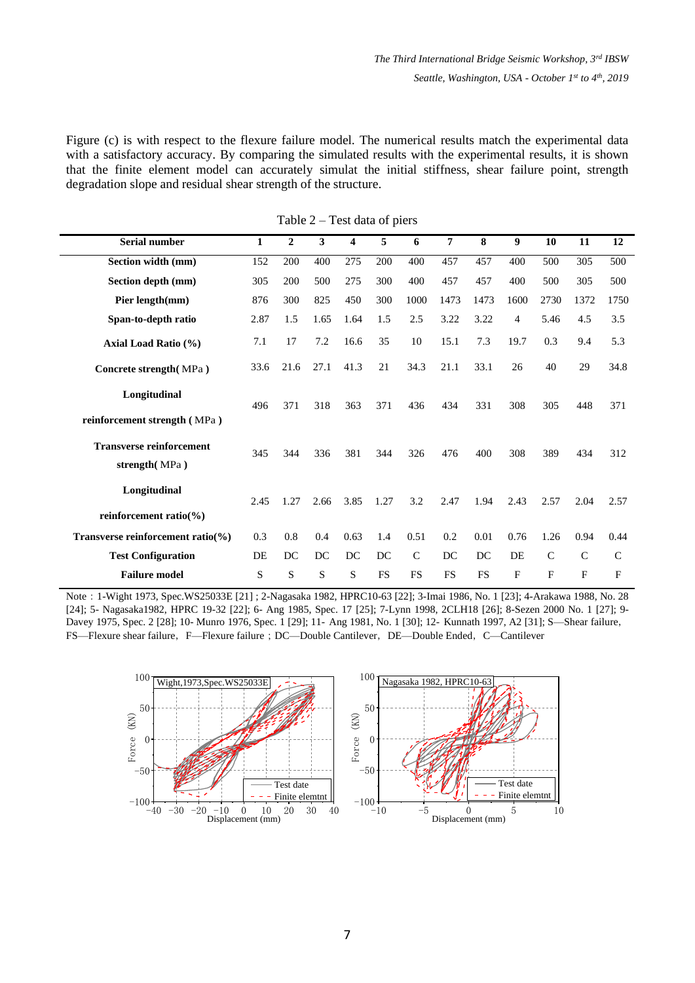Figure (c) is with respect to the flexure failure model. The numerical results match the experimental data with a satisfactory accuracy. By comparing the simulated results with the experimental results, it is shown that the finite element model can accurately simulat the initial stiffness, shear failure point, strength degradation slope and residual shear strength of the structure.

| <b>Serial number</b>                              | $\mathbf{1}$ | $\boldsymbol{2}$ | 3    | 4    | 5         | 6            | $\overline{7}$ | 8         | 9    | 10           | 11           | 12           |
|---------------------------------------------------|--------------|------------------|------|------|-----------|--------------|----------------|-----------|------|--------------|--------------|--------------|
| Section width (mm)                                | 152          | 200              | 400  | 275  | 200       | 400          | 457            | 457       | 400  | 500          | 305          | 500          |
| Section depth (mm)                                | 305          | 200              | 500  | 275  | 300       | 400          | 457            | 457       | 400  | 500          | 305          | 500          |
| Pier length(mm)                                   | 876          | 300              | 825  | 450  | 300       | 1000         | 1473           | 1473      | 1600 | 2730         | 1372         | 1750         |
| Span-to-depth ratio                               | 2.87         | 1.5              | 1.65 | 1.64 | 1.5       | 2.5          | 3.22           | 3.22      | 4    | 5.46         | 4.5          | 3.5          |
| Axial Load Ratio (%)                              | 7.1          | 17               | 7.2  | 16.6 | 35        | 10           | 15.1           | 7.3       | 19.7 | 0.3          | 9.4          | 5.3          |
| Concrete strength (MPa)                           | 33.6         | 21.6             | 27.1 | 41.3 | 21        | 34.3         | 21.1           | 33.1      | 26   | 40           | 29           | 34.8         |
| Longitudinal<br>reinforcement strength (MPa)      | 496          | 371              | 318  | 363  | 371       | 436          | 434            | 331       | 308  | 305          | 448          | 371          |
| <b>Transverse reinforcement</b><br>strength (MPa) | 345          | 344              | 336  | 381  | 344       | 326          | 476            | 400       | 308  | 389          | 434          | 312          |
| Longitudinal<br>reinforcement ratio $(\% )$       | 2.45         | 1.27             | 2.66 | 3.85 | 1.27      | 3.2          | 2.47           | 1.94      | 2.43 | 2.57         | 2.04         | 2.57         |
| Transverse reinforcement ratio(%)                 | 0.3          | 0.8              | 0.4  | 0.63 | 1.4       | 0.51         | 0.2            | 0.01      | 0.76 | 1.26         | 0.94         | 0.44         |
| <b>Test Configuration</b>                         | DE           | DC               | DC   | DC   | DC        | $\mathsf{C}$ | DC             | DC        | DE   | $\mathsf{C}$ | $\mathsf{C}$ | $\mathsf{C}$ |
| <b>Failure model</b>                              | S            | S                | S    | S    | <b>FS</b> | <b>FS</b>    | <b>FS</b>      | <b>FS</b> | F    | F            | F            | F            |

Table 2 – Test data of piers

Note:1-Wight 1973, Spec.WS25033E [\[21\]](#page-16-8) ; 2-Nagasaka 1982, HPRC10-63 [\[22\];](#page-16-9) 3-Imai 1986, No. 1 [\[23\];](#page-16-10) 4-Arakawa 1988, No. 28 [\[24\];](#page-16-11) 5- Nagasaka1982, HPRC 19-32 [\[22\];](#page-16-9) 6- Ang 1985, Spec. 17 [\[25\];](#page-16-12) 7-Lynn 1998, 2CLH18 [\[26\];](#page-16-13) 8-Sezen 2000 No. 1 [\[27\];](#page-16-14) 9- Davey 1975, Spec. 2 [\[28\];](#page-16-15) 10- Munro 1976, Spec. 1 [\[29\];](#page-16-16) 11- Ang 1981, No. 1 [\[30\];](#page-16-17) 12- Kunnath 1997, A2 [\[31\];](#page-16-18) S—Shear failure, FS—Flexure shear failure, F—Flexure failure; DC—Double Cantilever, DE—Double Ended, C—Cantilever

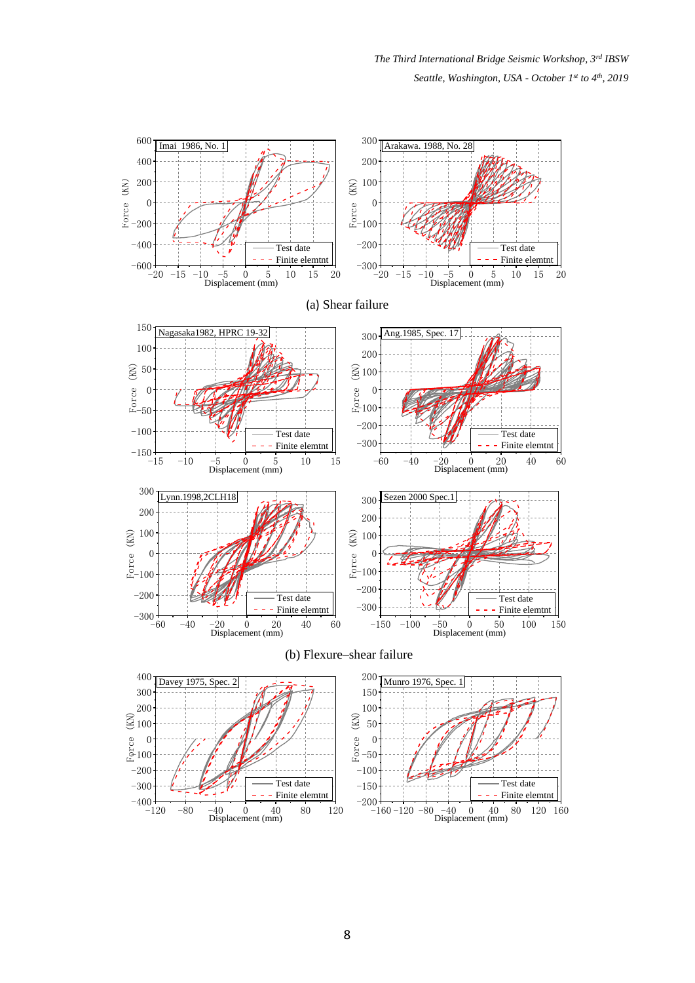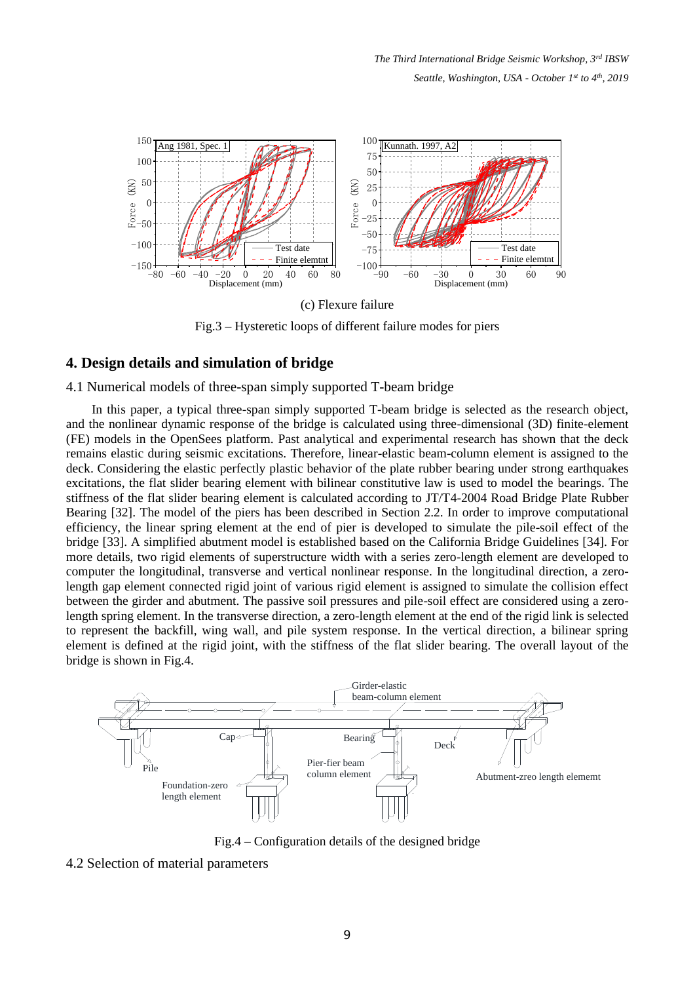

Fig.3 – Hysteretic loops of different failure modes for piers

## **4. Design details and simulation of bridge**

#### 4.1 Numerical models of three-span simply supported T-beam bridge

In this paper, a typical three-span simply supported T-beam bridge is selected as the research object, and the nonlinear dynamic response of the bridge is calculated using three-dimensional (3D) finite-element (FE) models in the OpenSees platform. Past analytical and experimental research has shown that the deck remains elastic during seismic excitations. Therefore, linear-elastic beam-column element is assigned to the deck. Considering the elastic perfectly plastic behavior of the plate rubber bearing under strong earthquakes excitations, the flat slider bearing element with bilinear constitutive law is used to model the bearings. The stiffness of the flat slider bearing element is calculated according to JT/T4-2004 Road Bridge Plate Rubber Bearing [\[32\].](#page-16-19) The model of the piers has been described in Section 2.2. In order to improve computational efficiency, the linear spring element at the end of pier is developed to simulate the pile-soil effect of the bridge [\[33\].](#page-17-0) A simplified abutment model is established based on the California Bridge Guidelines [\[34\].](#page-17-1) For more details, two rigid elements of superstructure width with a series zero-length element are developed to computer the longitudinal, transverse and vertical nonlinear response. In the longitudinal direction, a zerolength gap element connected rigid joint of various rigid element is assigned to simulate the collision effect between the girder and abutment. The passive soil pressures and pile-soil effect are considered using a zerolength spring element. In the transverse direction, a zero-length element at the end of the rigid link is selected to represent the backfill, wing wall, and pile system response. In the vertical direction, a bilinear spring element is defined at the rigid joint, with the stiffness of the flat slider bearing. The overall layout of the bridge is shown in Fig.4.



Fig.4 – Configuration details of the designed bridge

#### 4.2 Selection of material parameters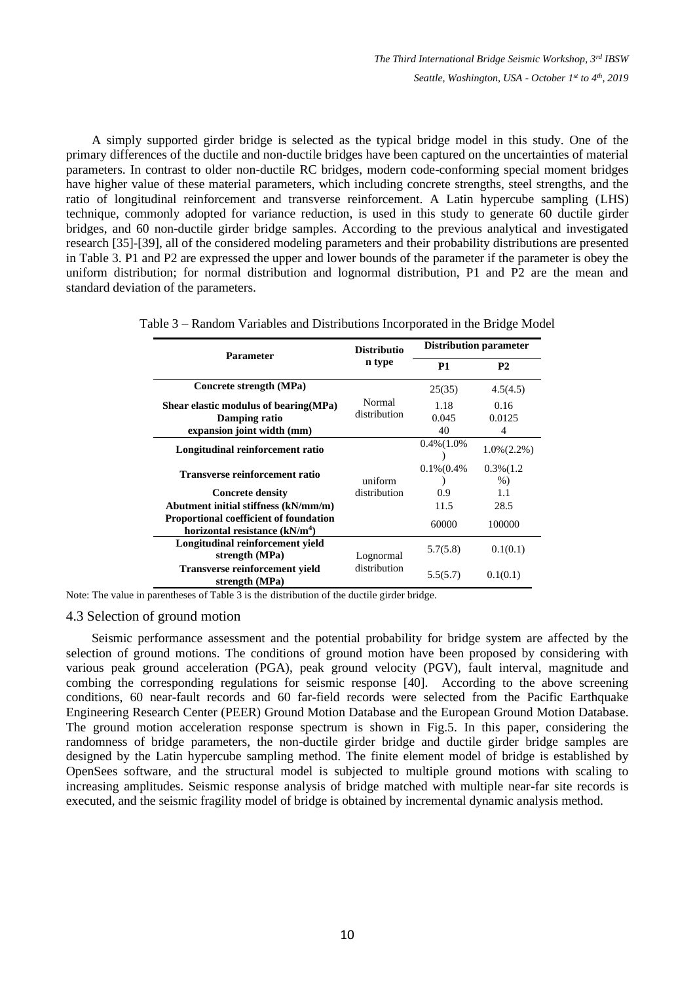A simply supported girder bridge is selected as the typical bridge model in this study. One of the primary differences of the ductile and non-ductile bridges have been captured on the uncertainties of material parameters. In contrast to older non-ductile RC bridges, modern code-conforming special moment bridges have higher value of these material parameters, which including concrete strengths, steel strengths, and the ratio of longitudinal reinforcement and transverse reinforcement. A Latin hypercube sampling (LHS) technique, commonly adopted for variance reduction, is used in this study to generate 60 ductile girder bridges, and 60 non-ductile girder bridge samples. According to the previous analytical and investigated research [\[35\]-](#page-17-2)[\[39\],](#page-17-3) all of the considered modeling parameters and their probability distributions are presented in Table 3. P1 and P2 are expressed the upper and lower bounds of the parameter if the parameter is obey the uniform distribution; for normal distribution and lognormal distribution, P1 and P2 are the mean and standard deviation of the parameters.

| <b>Parameter</b>                                                                            | <b>Distributio</b>     | <b>Distribution parameter</b> |                                  |  |
|---------------------------------------------------------------------------------------------|------------------------|-------------------------------|----------------------------------|--|
|                                                                                             | n type                 | <b>P1</b>                     | <b>P2</b>                        |  |
| Concrete strength (MPa)                                                                     |                        | 25(35)                        | 4.5(4.5)                         |  |
| Shear elastic modulus of bearing (MPa)<br>Damping ratio<br>expansion joint width (mm)       | Normal<br>distribution | 1.18<br>0.045<br>40           | 0.16<br>0.0125<br>$\overline{4}$ |  |
| Longitudinal reinforcement ratio                                                            |                        | $0.4\%$ (1.0%)                | $1.0\%$ (2.2%)                   |  |
| Transverse reinforcement ratio                                                              | uniform                | $0.1\%$ (0.4%                 | $0.3\%$ (1.2)<br>$%$ )           |  |
| <b>Concrete density</b>                                                                     | distribution           | 0.9                           | 1.1                              |  |
| Abutment initial stiffness (kN/mm/m)                                                        |                        | 11.5                          | 28.5                             |  |
| <b>Proportional coefficient of foundation</b><br>horizontal resistance (kN/m <sup>4</sup> ) |                        | 60000                         | 100000                           |  |
| Longitudinal reinforcement yield<br>strength (MPa)                                          | Lognormal              | 5.7(5.8)                      | 0.1(0.1)                         |  |
| <b>Transverse reinforcement yield</b><br>strength (MPa)                                     | distribution           | 5.5(5.7)                      | 0.1(0.1)                         |  |

Table 3 – Random Variables and Distributions Incorporated in the Bridge Model

Note: The value in parentheses of Table 3 is the distribution of the ductile girder bridge.

#### 4.3 Selection of ground motion

Seismic performance assessment and the potential probability for bridge system are affected by the selection of ground motions. The conditions of ground motion have been proposed by considering with various peak ground acceleration (PGA), peak ground velocity (PGV), fault interval, magnitude and combing the corresponding regulations for seismic response [\[40\].](#page-17-4) According to the above screening conditions, 60 near-fault records and 60 far-field records were selected from the Pacific Earthquake Engineering Research Center (PEER) Ground Motion Database and the European Ground Motion Database. The ground motion acceleration response spectrum is shown in Fig.5. In this paper, considering the randomness of bridge parameters, the non-ductile girder bridge and ductile girder bridge samples are designed by the Latin hypercube sampling method. The finite element model of bridge is established by OpenSees software, and the structural model is subjected to multiple ground motions with scaling to increasing amplitudes. Seismic response analysis of bridge matched with multiple near-far site records is executed, and the seismic fragility model of bridge is obtained by incremental dynamic analysis method.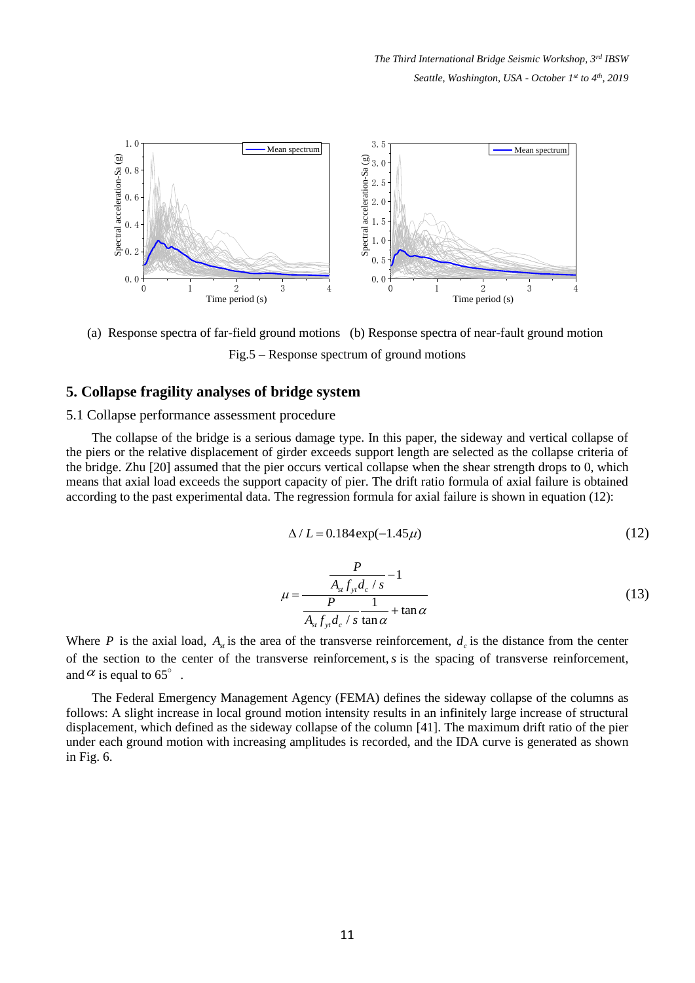

(a) Response spectra of far-field ground motions (b) Response spectra of near-fault ground motion Fig.5 – Response spectrum of ground motions

# **5. Collapse fragility analyses of bridge system**

### 5.1 Collapse performance assessment procedure

The collapse of the bridge is a serious damage type. In this paper, the sideway and vertical collapse of the piers or the relative displacement of girder exceeds support length are selected as the collapse criteria of the bridge. Zhu [\[20\]](#page-16-7) assumed that the pier occurs vertical collapse when the shear strength drops to 0, which means that axial load exceeds the support capacity of pier. The drift ratio formula of axial failure is obtained according to the past experimental data. The regression formula for axial failure is shown in equation (12):

$$
\Delta / L = 0.184 \exp(-1.45 \mu)
$$
 (12)

$$
\mu = \frac{\frac{P}{A_{st}f_{yt}d_c / s} - 1}{\frac{P}{A_{st}f_{yt}d_c / s} \frac{1}{\tan \alpha} + \tan \alpha}
$$
(13)

Where P is the axial load,  $A_{st}$  is the area of the transverse reinforcement,  $d_c$  is the distance from the center of the section to the center of the transverse reinforcement, *s* is the spacing of transverse reinforcement, and  $\alpha$  is equal to 65°.

The Federal Emergency Management Agency (FEMA) defines the sideway collapse of the columns as follows: A slight increase in local ground motion intensity results in an infinitely large increase of structural displacement, which defined as the sideway collapse of the column [\[41\].](#page-17-5) The maximum drift ratio of the pier under each ground motion with increasing amplitudes is recorded, and the IDA curve is generated as shown in Fig. 6.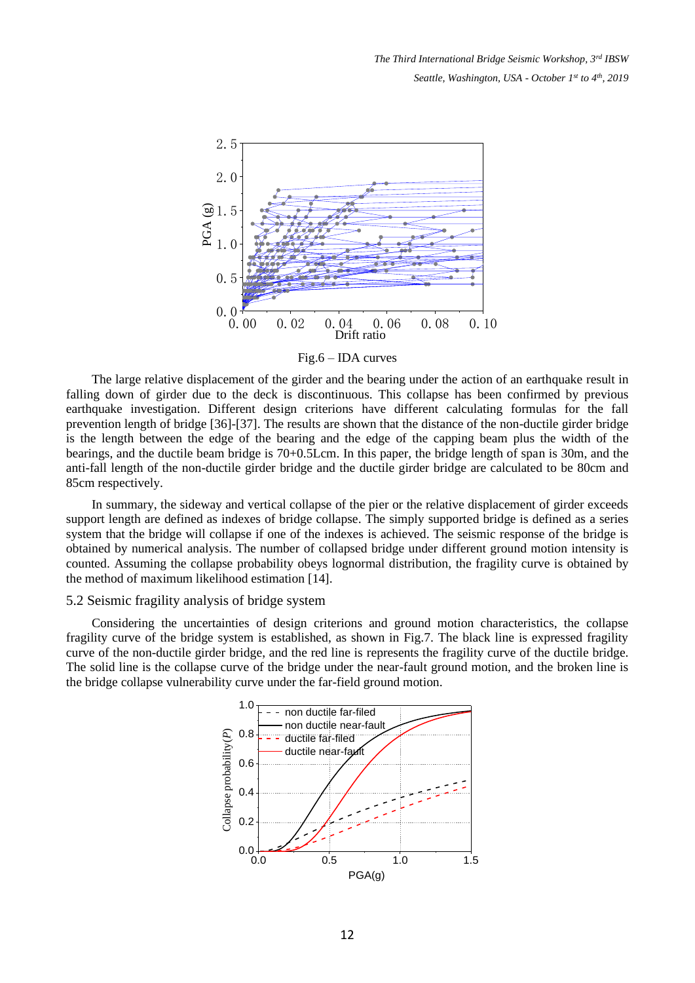

Fig.6 – IDA curves

The large relative displacement of the girder and the bearing under the action of an earthquake result in falling down of girder due to the deck is discontinuous. This collapse has been confirmed by previous earthquake investigation. Different design criterions have different calculating formulas for the fall prevention length of bridge [\[36\]-](#page-17-6)[\[37\].](#page-17-7) The results are shown that the distance of the non-ductile girder bridge is the length between the edge of the bearing and the edge of the capping beam plus the width of the bearings, and the ductile beam bridge is 70+0.5Lcm. In this paper, the bridge length of span is 30m, and the anti-fall length of the non-ductile girder bridge and the ductile girder bridge are calculated to be 80cm and 85cm respectively.

In summary, the sideway and vertical collapse of the pier or the relative displacement of girder exceeds support length are defined as indexes of bridge collapse. The simply supported bridge is defined as a series system that the bridge will collapse if one of the indexes is achieved. The seismic response of the bridge is obtained by numerical analysis. The number of collapsed bridge under different ground motion intensity is counted. Assuming the collapse probability obeys lognormal distribution, the fragility curve is obtained by the method of maximum likelihood estimation [\[14\].](#page-16-3)

#### 5.2 Seismic fragility analysis of bridge system

Considering the uncertainties of design criterions and ground motion characteristics, the collapse fragility curve of the bridge system is established, as shown in Fig.7. The black line is expressed fragility curve of the non-ductile girder bridge, and the red line is represents the fragility curve of the ductile bridge. The solid line is the collapse curve of the bridge under the near-fault ground motion, and the broken line is the bridge collapse vulnerability curve under the far-field ground motion.

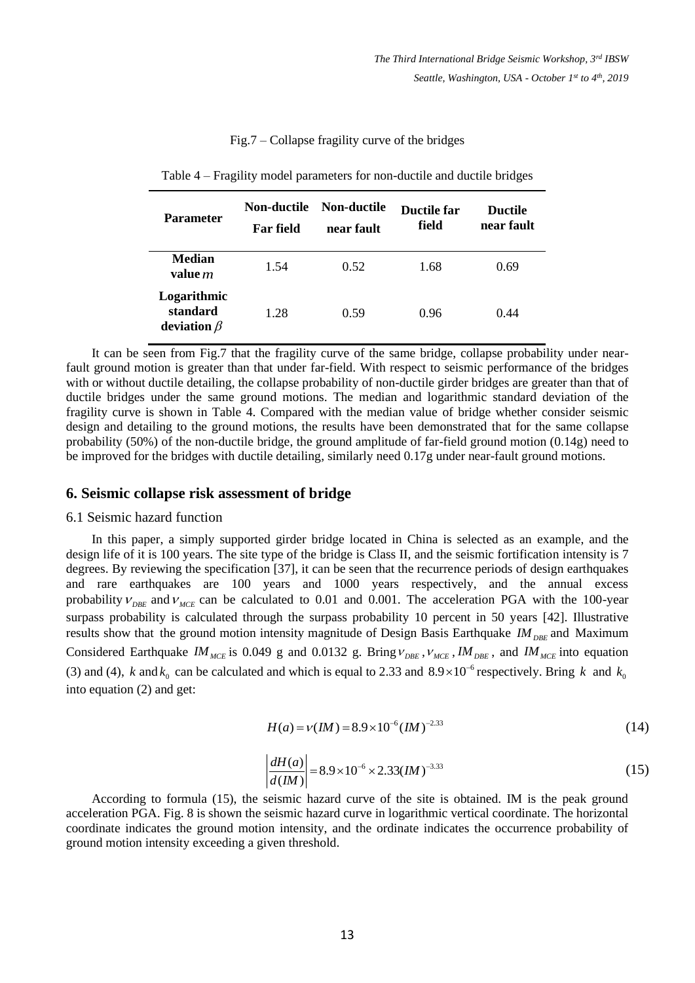### Fig.7 – Collapse fragility curve of the bridges

| <b>Parameter</b>                             | Non-ductile<br><b>Far</b> field | Non-ductile<br>near fault | <b>Ductile far</b><br>field | <b>Ductile</b><br>near fault |
|----------------------------------------------|---------------------------------|---------------------------|-----------------------------|------------------------------|
| <b>Median</b><br>value m                     | 1.54                            | 0.52                      | 1.68                        | 0.69                         |
| Logarithmic<br>standard<br>deviation $\beta$ | 1.28                            | 0.59                      | 0.96                        | 0.44                         |

| Table 4 – Fragility model parameters for non-ductile and ductile bridges |  |  |  |  |  |  |  |  |  |
|--------------------------------------------------------------------------|--|--|--|--|--|--|--|--|--|
|--------------------------------------------------------------------------|--|--|--|--|--|--|--|--|--|

It can be seen from Fig.7 that the fragility curve of the same bridge, collapse probability under nearfault ground motion is greater than that under far-field. With respect to seismic performance of the bridges with or without ductile detailing, the collapse probability of non-ductile girder bridges are greater than that of ductile bridges under the same ground motions. The median and logarithmic standard deviation of the fragility curve is shown in Table 4. Compared with the median value of bridge whether consider seismic design and detailing to the ground motions, the results have been demonstrated that for the same collapse probability (50%) of the non-ductile bridge, the ground amplitude of far-field ground motion (0.14g) need to be improved for the bridges with ductile detailing, similarly need 0.17g under near-fault ground motions.

### **6. Seismic collapse risk assessment of bridge**

#### 6.1 Seismic hazard function

In this paper, a simply supported girder bridge located in China is selected as an example, and the design life of it is 100 years. The site type of the bridge is Class II, and the seismic fortification intensity is 7 degrees. By reviewing the specification [\[37\],](#page-17-7) it can be seen that the recurrence periods of design earthquakes and rare earthquakes are 100 years and 1000 years respectively, and the annual excess probability  $V_{\text{DBE}}$  and  $V_{\text{MCE}}$  can be calculated to 0.01 and 0.001. The acceleration PGA with the 100-year surpass probability is calculated through the surpass probability 10 percent in 50 years [\[42\].](#page-17-8) Illustrative results show that the ground motion intensity magnitude of Design Basis Earthquake *IM*<sub>DBE</sub> and Maximum Considered Earthquake *IM*<sub>MCE</sub> is 0.049 g and 0.0132 g. Bring  $v_{\text{DEF}}$ ,  $v_{\text{MCE}}$ , *IM*<sub>DBE</sub>, and *IM*<sub>MCE</sub> into equation (3) and (4), k and  $k_0$  can be calculated and which is equal to 2.33 and  $8.9 \times 10^{-6}$  respectively. Bring k and  $k_0$ into equation (2) and get:

$$
H(a) = v(IM) = 8.9 \times 10^{-6} (IM)^{-2.33}
$$
 (14)

$$
\left| \frac{dH(a)}{d(IM)} \right| = 8.9 \times 10^{-6} \times 2.33 (IM)^{-3.33}
$$
 (15)

According to formula (15), the seismic hazard curve of the site is obtained. IM is the peak ground acceleration PGA. Fig. 8 is shown the seismic hazard curve in logarithmic vertical coordinate. The horizontal coordinate indicates the ground motion intensity, and the ordinate indicates the occurrence probability of ground motion intensity exceeding a given threshold.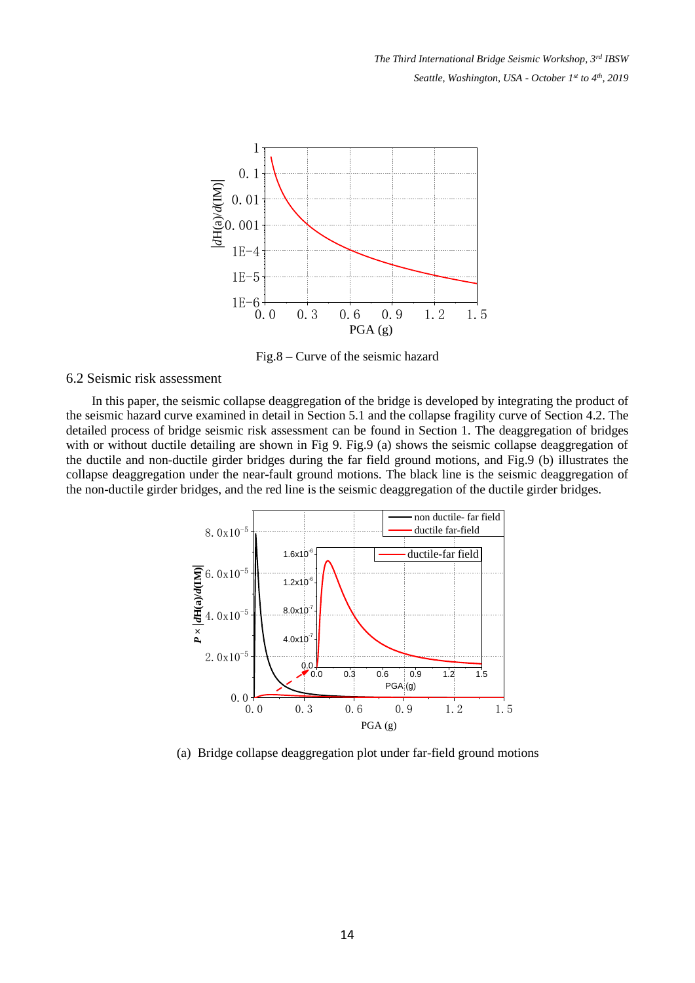

Fig.8 – Curve of the seismic hazard

# 6.2 Seismic risk assessment

In this paper, the seismic collapse deaggregation of the bridge is developed by integrating the product of the seismic hazard curve examined in detail in Section 5.1 and the collapse fragility curve of Section 4.2. The detailed process of bridge seismic risk assessment can be found in Section 1. The deaggregation of bridges with or without ductile detailing are shown in Fig 9. Fig.9 (a) shows the seismic collapse deaggregation of the ductile and non-ductile girder bridges during the far field ground motions, and Fig.9 (b) illustrates the collapse deaggregation under the near-fault ground motions. The black line is the seismic deaggregation of the non-ductile girder bridges, and the red line is the seismic deaggregation of the ductile girder bridges.



(a) Bridge collapse deaggregation plot under far-field ground motions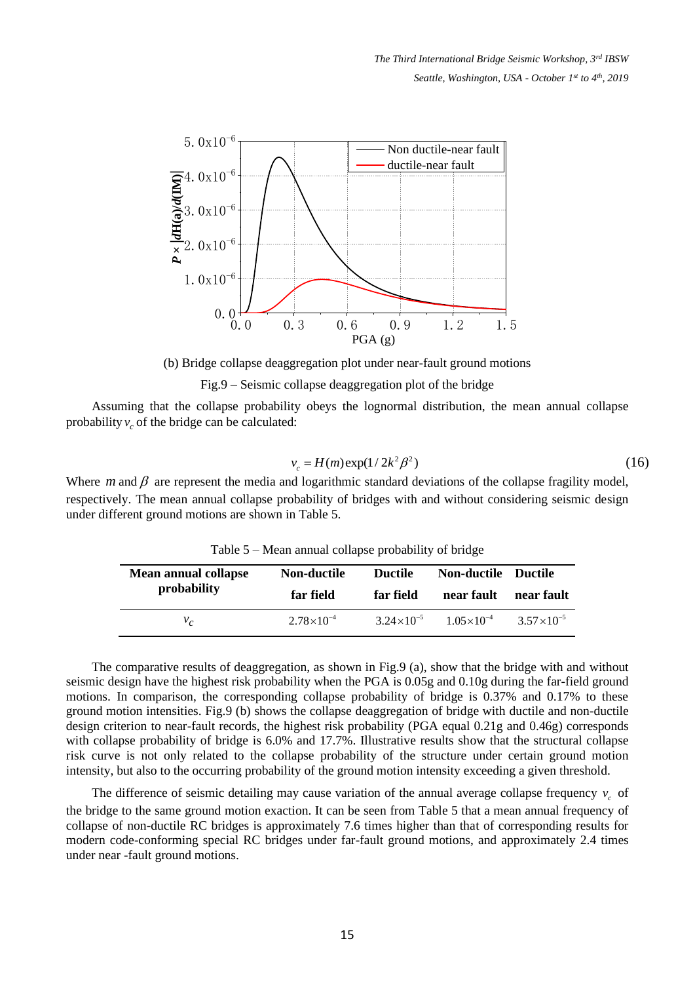

(b) Bridge collapse deaggregation plot under near-fault ground motions

Fig.9 – Seismic collapse deaggregation plot of the bridge

Assuming that the collapse probability obeys the lognormal distribution, the mean annual collapse probability  $v_c$  of the bridge can be calculated:

$$
v_c = H(m) \exp(1/2k^2 \beta^2)
$$
 (16)

Where  $m$  and  $\beta$  are represent the media and logarithmic standard deviations of the collapse fragility model, respectively. The mean annual collapse probability of bridges with and without considering seismic design under different ground motions are shown in Table 5.

| <b>Mean annual collapse</b> | <b>Non-ductile</b>  | <b>Ductile</b>        | <b>Non-ductile Ductile</b> | near fault            |
|-----------------------------|---------------------|-----------------------|----------------------------|-----------------------|
| probability                 | far field           | far field             | near fault                 |                       |
| $v_c$                       | $2.78\times10^{-4}$ | $3.24 \times 10^{-5}$ | $1.05\times10^{-4}$        | $3.57 \times 10^{-5}$ |

Table 5 – Mean annual collapse probability of bridge

The comparative results of deaggregation, as shown in Fig.9 (a), show that the bridge with and without seismic design have the highest risk probability when the PGA is 0.05g and 0.10g during the far-field ground motions. In comparison, the corresponding collapse probability of bridge is 0.37% and 0.17% to these ground motion intensities. Fig.9 (b) shows the collapse deaggregation of bridge with ductile and non-ductile design criterion to near-fault records, the highest risk probability (PGA equal 0.21g and 0.46g) corresponds with collapse probability of bridge is 6.0% and 17.7%. Illustrative results show that the structural collapse risk curve is not only related to the collapse probability of the structure under certain ground motion intensity, but also to the occurring probability of the ground motion intensity exceeding a given threshold.

The difference of seismic detailing may cause variation of the annual average collapse frequency  $v_c$  of the bridge to the same ground motion exaction. It can be seen from Table 5 that a mean annual frequency of collapse of non-ductile RC bridges is approximately 7.6 times higher than that of corresponding results for modern code-conforming special RC bridges under far-fault ground motions, and approximately 2.4 times under near -fault ground motions.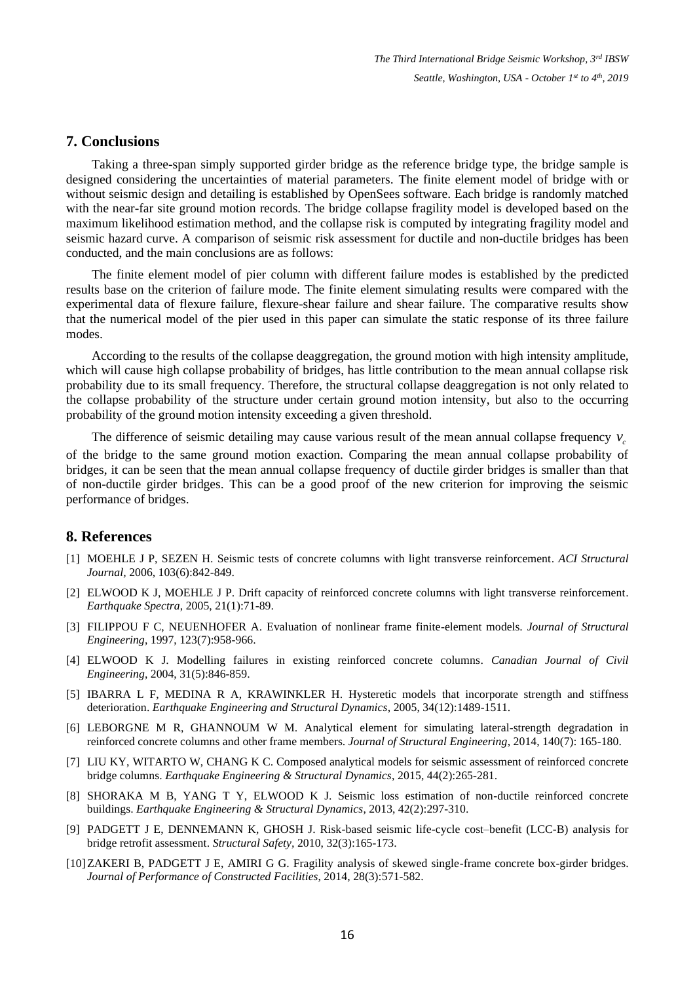## **7. Conclusions**

Taking a three-span simply supported girder bridge as the reference bridge type, the bridge sample is designed considering the uncertainties of material parameters. The finite element model of bridge with or without seismic design and detailing is established by OpenSees software. Each bridge is randomly matched with the near-far site ground motion records. The bridge collapse fragility model is developed based on the maximum likelihood estimation method, and the collapse risk is computed by integrating fragility model and seismic hazard curve. A comparison of seismic risk assessment for ductile and non-ductile bridges has been conducted, and the main conclusions are as follows:

The finite element model of pier column with different failure modes is established by the predicted results base on the criterion of failure mode. The finite element simulating results were compared with the experimental data of flexure failure, flexure-shear failure and shear failure. The comparative results show that the numerical model of the pier used in this paper can simulate the static response of its three failure modes.

According to the results of the collapse deaggregation, the ground motion with high intensity amplitude, which will cause high collapse probability of bridges, has little contribution to the mean annual collapse risk probability due to its small frequency. Therefore, the structural collapse deaggregation is not only related to the collapse probability of the structure under certain ground motion intensity, but also to the occurring probability of the ground motion intensity exceeding a given threshold.

The difference of seismic detailing may cause various result of the mean annual collapse frequency  $v_c$ 

of the bridge to the same ground motion exaction. Comparing the mean annual collapse probability of bridges, it can be seen that the mean annual collapse frequency of ductile girder bridges is smaller than that of non-ductile girder bridges. This can be a good proof of the new criterion for improving the seismic performance of bridges.

### **8. References**

- <span id="page-15-0"></span>[1] MOEHLE J P, SEZEN H. Seismic tests of concrete columns with light transverse reinforcement. *ACI Structural Journal,* 2006, 103(6):842-849.
- <span id="page-15-1"></span>[2] ELWOOD K J, MOEHLE J P. Drift capacity of reinforced concrete columns with light transverse reinforcement. *Earthquake Spectra*, 2005, 21(1):71-89.
- [3] FILIPPOU F C, NEUENHOFER A. Evaluation of nonlinear frame finite-element models. *Journal of Structural Engineering*, 1997, 123(7):958-966.
- <span id="page-15-3"></span>[4] ELWOOD K J. Modelling failures in existing reinforced concrete columns. *Canadian Journal of Civil Engineering*, 2004, 31(5):846-859.
- [5] IBARRA L F, MEDINA R A, KRAWINKLER H. Hysteretic models that incorporate strength and stiffness deterioration. *Earthquake Engineering and Structural Dynamics*, 2005, 34(12):1489-1511.
- <span id="page-15-2"></span>[6] LEBORGNE M R, GHANNOUM W M. Analytical element for simulating lateral-strength degradation in reinforced concrete columns and other frame members. *Journal of Structural Engineering*, 2014, 140(7): 165-180.
- <span id="page-15-4"></span>[7] LIU KY, WITARTO W, CHANG K C. Composed analytical models for seismic assessment of reinforced concrete bridge columns. *Earthquake Engineering & Structural Dynamics*, 2015, 44(2):265-281.
- <span id="page-15-5"></span>[8] SHORAKA M B, YANG T Y, ELWOOD K J. Seismic loss estimation of non-ductile reinforced concrete buildings. *Earthquake Engineering & Structural Dynamics*, 2013, 42(2):297-310.
- <span id="page-15-6"></span>[9] PADGETT J E, DENNEMANN K, GHOSH J. Risk-based seismic life-cycle cost–benefit (LCC-B) analysis for bridge retrofit assessment. *Structural Safety,* 2010, 32(3):165-173.
- <span id="page-15-7"></span>[10]ZAKERI B, PADGETT J E, AMIRI G G. Fragility analysis of skewed single-frame concrete box-girder bridges. *Journal of Performance of Constructed Facilities*, 2014, 28(3):571-582.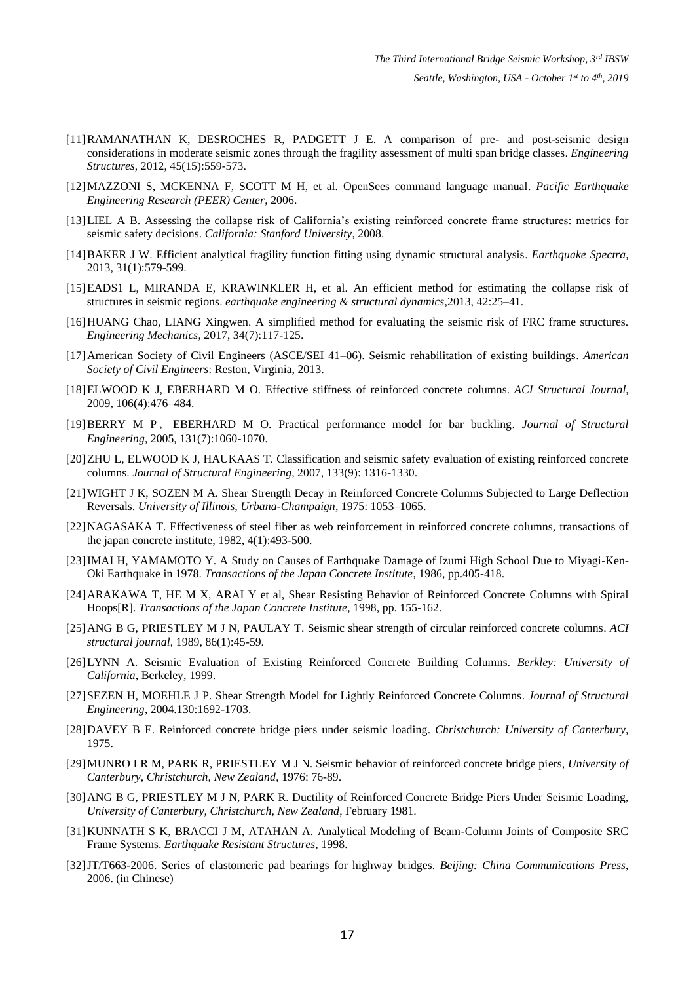- <span id="page-16-0"></span>[11]RAMANATHAN K, DESROCHES R, PADGETT J E. A comparison of pre- and post-seismic design considerations in moderate seismic zones through the fragility assessment of multi span bridge classes. *Engineering Structures*, 2012, 45(15):559-573.
- <span id="page-16-1"></span>[12]MAZZONI S, MCKENNA F, SCOTT M H, et al. OpenSees command language manual. *Pacific Earthquake Engineering Research (PEER) Center*, 2006.
- <span id="page-16-2"></span>[13]LIEL A B. Assessing the collapse risk of California's existing reinforced concrete frame structures: metrics for seismic safety decisions. *California: Stanford University*, 2008.
- <span id="page-16-3"></span>[14]BAKER J W. Efficient analytical fragility function fitting using dynamic structural analysis. *Earthquake Spectra*, 2013, 31(1):579-599.
- [15]EADS1 L, MIRANDA E, KRAWINKLER H, et al. An efficient method for estimating the collapse risk of structures in seismic regions. *earthquake engineering & structural dynamics*,2013, 42:25–41.
- [16]HUANG Chao, LIANG Xingwen. A simplified method for evaluating the seismic risk of FRC frame structures. *Engineering Mechanics*, 2017, 34(7):117-125.
- <span id="page-16-4"></span>[17]American Society of Civil Engineers (ASCE/SEI 41–06). Seismic rehabilitation of existing buildings. *American Society of Civil Engineers*: Reston, Virginia, 2013.
- <span id="page-16-5"></span>[18]ELWOOD K J, EBERHARD M O. Effective stiffness of reinforced concrete columns. *ACI Structural Journal*, 2009, 106(4):476–484.
- <span id="page-16-6"></span>[19]BERRY M P , EBERHARD M O. Practical performance model for bar buckling. *Journal of Structural Engineering*, 2005, 131(7):1060-1070.
- <span id="page-16-7"></span>[20]ZHU L, ELWOOD K J, HAUKAAS T. Classification and seismic safety evaluation of existing reinforced concrete columns. *Journal of Structural Engineering*, 2007, 133(9): 1316-1330.
- <span id="page-16-8"></span>[21]WIGHT J K, SOZEN M A. Shear Strength Decay in Reinforced Concrete Columns Subjected to Large Deflection Reversals. *University of Illinois, Urbana-Champaign*, 1975: 1053–1065.
- <span id="page-16-9"></span>[22]NAGASAKA T. Effectiveness of steel fiber as web reinforcement in reinforced concrete columns, transactions of the japan concrete institute, 1982, 4(1):493-500.
- <span id="page-16-10"></span>[23]IMAI H, YAMAMOTO Y. A Study on Causes of Earthquake Damage of Izumi High School Due to Miyagi-Ken-Oki Earthquake in 1978. *Transactions of the Japan Concrete Institute*, 1986, pp.405-418.
- <span id="page-16-11"></span>[24]ARAKAWA T, HE M X, ARAI Y et al, Shear Resisting Behavior of Reinforced Concrete Columns with Spiral Hoops[R]. *Transactions of the Japan Concrete Institute*, 1998, pp. 155-162.
- <span id="page-16-12"></span>[25]ANG B G, PRIESTLEY M J N, PAULAY T. Seismic shear strength of circular reinforced concrete columns. *ACI structural journal*, 1989, 86(1):45-59.
- <span id="page-16-13"></span>[26]LYNN A. Seismic Evaluation of Existing Reinforced Concrete Building Columns. *Berkley: University of California*, Berkeley, 1999.
- <span id="page-16-14"></span>[27]SEZEN H, MOEHLE J P. Shear Strength Model for Lightly Reinforced Concrete Columns. *Journal of Structural Engineering*, 2004.130:1692-1703.
- <span id="page-16-15"></span>[28]DAVEY B E. Reinforced concrete bridge piers under seismic loading. *Christchurch: University of Canterbury*, 1975.
- <span id="page-16-16"></span>[29]MUNRO I R M, PARK R, PRIESTLEY M J N. Seismic behavior of reinforced concrete bridge piers, *University of Canterbury, Christchurch, New Zealand*, 1976: 76-89.
- <span id="page-16-17"></span>[30]ANG B G, PRIESTLEY M J N, PARK R. Ductility of Reinforced Concrete Bridge Piers Under Seismic Loading, *University of Canterbury, Christchurch, New Zealand*, February 1981.
- <span id="page-16-18"></span>[31]KUNNATH S K, BRACCI J M, ATAHAN A. Analytical Modeling of Beam-Column Joints of Composite SRC Frame Systems. *Earthquake Resistant Structures*, 1998.
- <span id="page-16-19"></span>[32]JT/T663-2006. Series of elastomeric pad bearings for highway bridges. *Beijing: China Communications Press*, 2006. (in Chinese)